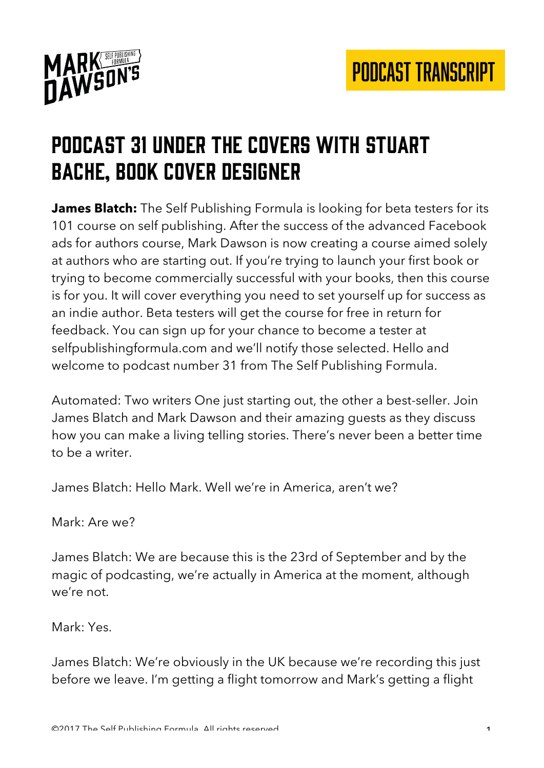

#### Podcast 31 Under the covers with stuart bache, book cover designer

**James Blatch:** The Self Publishing Formula is looking for beta testers for its 101 course on self publishing. After the success of the advanced Facebook ads for authors course, Mark Dawson is now creating a course aimed solely at authors who are starting out. If you're trying to launch your first book or trying to become commercially successful with your books, then this course is for you. It will cover everything you need to set yourself up for success as an indie author. Beta testers will get the course for free in return for feedback. You can sign up for your chance to become a tester at selfpublishingformula.com and we'll notify those selected. Hello and welcome to podcast number 31 from The Self Publishing Formula.

Automated: Two writers One just starting out, the other a best-seller. Join James Blatch and Mark Dawson and their amazing guests as they discuss how you can make a living telling stories. There's never been a better time to be a writer.

James Blatch: Hello Mark. Well we're in America, aren't we?

Mark: Are we?

James Blatch: We are because this is the 23rd of September and by the magic of podcasting, we're actually in America at the moment, although we're not.

Mark: Yes.

James Blatch: We're obviously in the UK because we're recording this just before we leave. I'm getting a flight tomorrow and Mark's getting a flight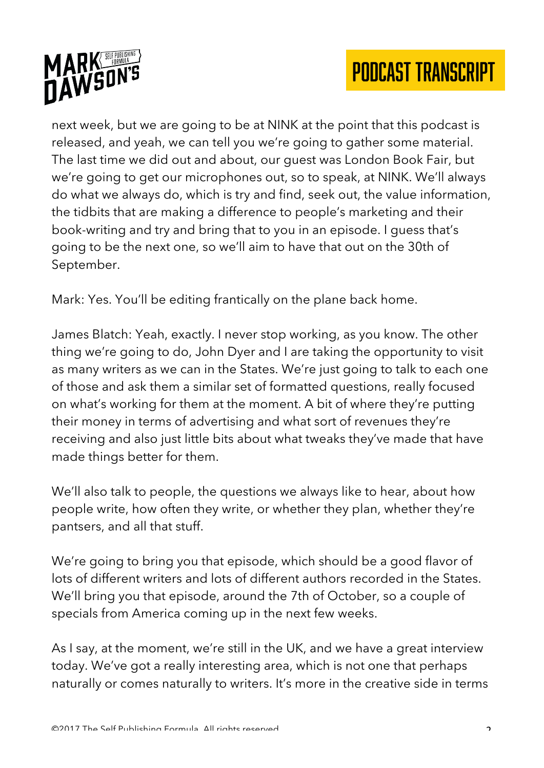



next week, but we are going to be at NINK at the point that this podcast is released, and yeah, we can tell you we're going to gather some material. The last time we did out and about, our guest was London Book Fair, but we're going to get our microphones out, so to speak, at NINK. We'll always do what we always do, which is try and find, seek out, the value information, the tidbits that are making a difference to people's marketing and their book-writing and try and bring that to you in an episode. I guess that's going to be the next one, so we'll aim to have that out on the 30th of September.

Mark: Yes. You'll be editing frantically on the plane back home.

James Blatch: Yeah, exactly. I never stop working, as you know. The other thing we're going to do, John Dyer and I are taking the opportunity to visit as many writers as we can in the States. We're just going to talk to each one of those and ask them a similar set of formatted questions, really focused on what's working for them at the moment. A bit of where they're putting their money in terms of advertising and what sort of revenues they're receiving and also just little bits about what tweaks they've made that have made things better for them.

We'll also talk to people, the questions we always like to hear, about how people write, how often they write, or whether they plan, whether they're pantsers, and all that stuff.

We're going to bring you that episode, which should be a good flavor of lots of different writers and lots of different authors recorded in the States. We'll bring you that episode, around the 7th of October, so a couple of specials from America coming up in the next few weeks.

As I say, at the moment, we're still in the UK, and we have a great interview today. We've got a really interesting area, which is not one that perhaps naturally or comes naturally to writers. It's more in the creative side in terms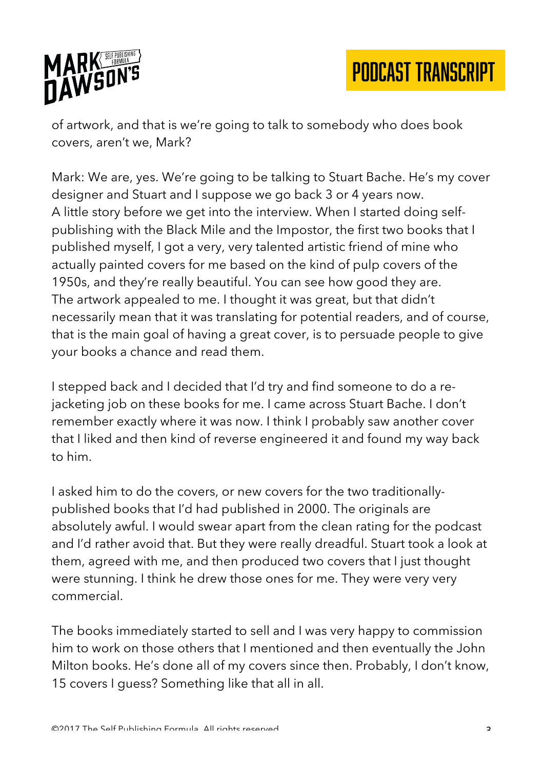

of artwork, and that is we're going to talk to somebody who does book covers, aren't we, Mark?

Mark: We are, yes. We're going to be talking to Stuart Bache. He's my cover designer and Stuart and I suppose we go back 3 or 4 years now. A little story before we get into the interview. When I started doing selfpublishing with the Black Mile and the Impostor, the first two books that I published myself, I got a very, very talented artistic friend of mine who actually painted covers for me based on the kind of pulp covers of the 1950s, and they're really beautiful. You can see how good they are. The artwork appealed to me. I thought it was great, but that didn't necessarily mean that it was translating for potential readers, and of course, that is the main goal of having a great cover, is to persuade people to give your books a chance and read them.

I stepped back and I decided that I'd try and find someone to do a rejacketing job on these books for me. I came across Stuart Bache. I don't remember exactly where it was now. I think I probably saw another cover that I liked and then kind of reverse engineered it and found my way back to him.

I asked him to do the covers, or new covers for the two traditionallypublished books that I'd had published in 2000. The originals are absolutely awful. I would swear apart from the clean rating for the podcast and I'd rather avoid that. But they were really dreadful. Stuart took a look at them, agreed with me, and then produced two covers that I just thought were stunning. I think he drew those ones for me. They were very very commercial.

The books immediately started to sell and I was very happy to commission him to work on those others that I mentioned and then eventually the John Milton books. He's done all of my covers since then. Probably, I don't know, 15 covers I guess? Something like that all in all.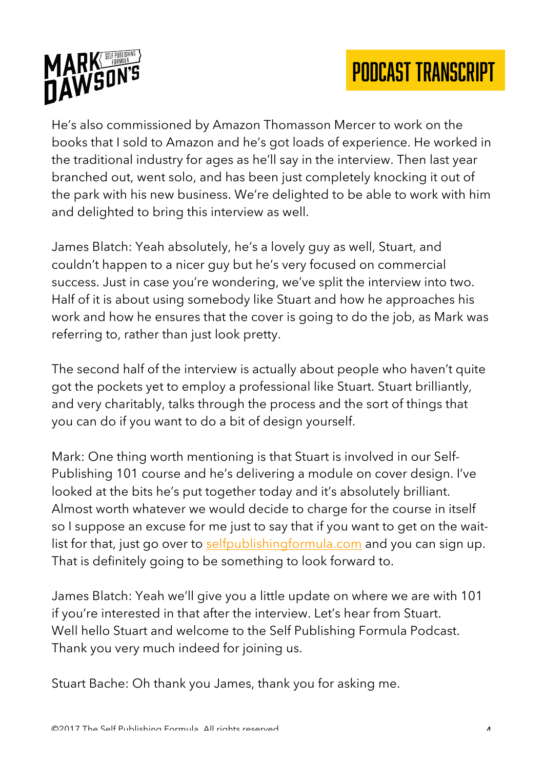



He's also commissioned by Amazon Thomasson Mercer to work on the books that I sold to Amazon and he's got loads of experience. He worked in the traditional industry for ages as he'll say in the interview. Then last year branched out, went solo, and has been just completely knocking it out of the park with his new business. We're delighted to be able to work with him and delighted to bring this interview as well.

James Blatch: Yeah absolutely, he's a lovely guy as well, Stuart, and couldn't happen to a nicer guy but he's very focused on commercial success. Just in case you're wondering, we've split the interview into two. Half of it is about using somebody like Stuart and how he approaches his work and how he ensures that the cover is going to do the job, as Mark was referring to, rather than just look pretty.

The second half of the interview is actually about people who haven't quite got the pockets yet to employ a professional like Stuart. Stuart brilliantly, and very charitably, talks through the process and the sort of things that you can do if you want to do a bit of design yourself.

Mark: One thing worth mentioning is that Stuart is involved in our Self-Publishing 101 course and he's delivering a module on cover design. I've looked at the bits he's put together today and it's absolutely brilliant. Almost worth whatever we would decide to charge for the course in itself so I suppose an excuse for me just to say that if you want to get on the waitlist for that, just go over to selfpublishingformula.com and you can sign up. That is definitely going to be something to look forward to.

James Blatch: Yeah we'll give you a little update on where we are with 101 if you're interested in that after the interview. Let's hear from Stuart. Well hello Stuart and welcome to the Self Publishing Formula Podcast. Thank you very much indeed for joining us.

Stuart Bache: Oh thank you James, thank you for asking me.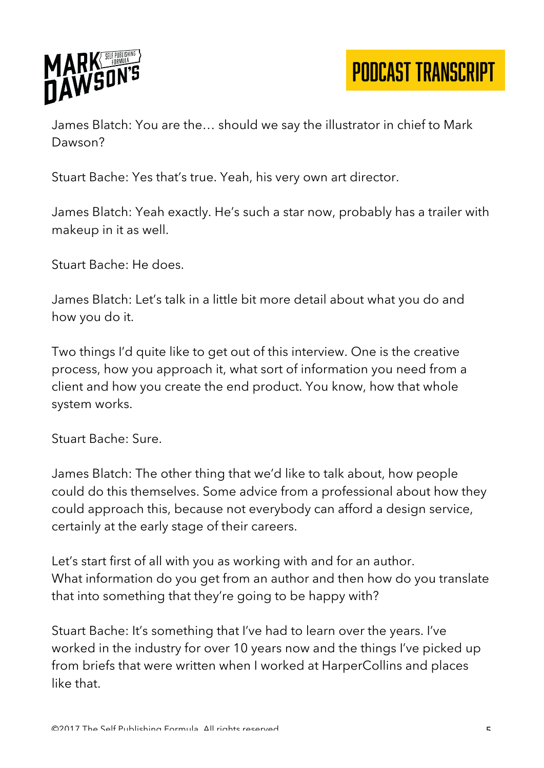

James Blatch: You are the… should we say the illustrator in chief to Mark Dawson?

Stuart Bache: Yes that's true. Yeah, his very own art director.

James Blatch: Yeah exactly. He's such a star now, probably has a trailer with makeup in it as well.

Stuart Bache: He does.

James Blatch: Let's talk in a little bit more detail about what you do and how you do it.

Two things I'd quite like to get out of this interview. One is the creative process, how you approach it, what sort of information you need from a client and how you create the end product. You know, how that whole system works.

Stuart Bache: Sure.

James Blatch: The other thing that we'd like to talk about, how people could do this themselves. Some advice from a professional about how they could approach this, because not everybody can afford a design service, certainly at the early stage of their careers.

Let's start first of all with you as working with and for an author. What information do you get from an author and then how do you translate that into something that they're going to be happy with?

Stuart Bache: It's something that I've had to learn over the years. I've worked in the industry for over 10 years now and the things I've picked up from briefs that were written when I worked at HarperCollins and places like that.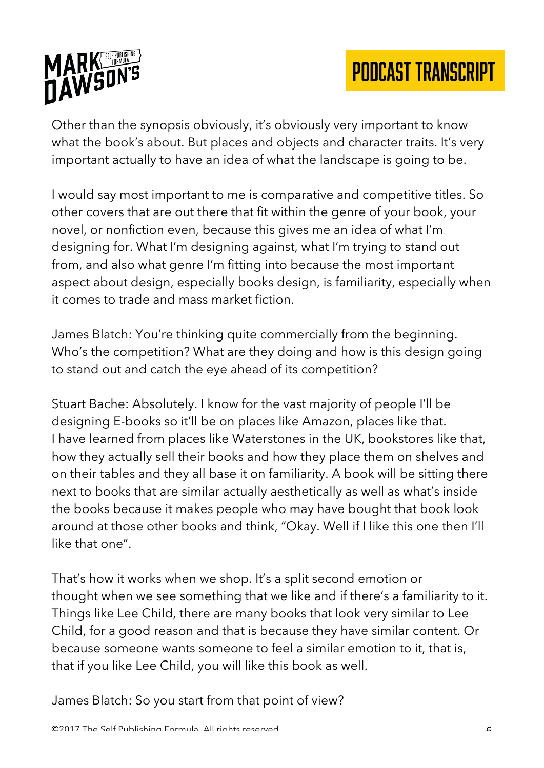

Other than the synopsis obviously, it's obviously very important to know what the book's about. But places and objects and character traits. It's very important actually to have an idea of what the landscape is going to be.

I would say most important to me is comparative and competitive titles. So other covers that are out there that fit within the genre of your book, your novel, or nonfiction even, because this gives me an idea of what I'm designing for. What I'm designing against, what I'm trying to stand out from, and also what genre I'm fitting into because the most important aspect about design, especially books design, is familiarity, especially when it comes to trade and mass market fiction.

James Blatch: You're thinking quite commercially from the beginning. Who's the competition? What are they doing and how is this design going to stand out and catch the eye ahead of its competition?

Stuart Bache: Absolutely. I know for the vast majority of people I'll be designing E-books so it'll be on places like Amazon, places like that. I have learned from places like Waterstones in the UK, bookstores like that, how they actually sell their books and how they place them on shelves and on their tables and they all base it on familiarity. A book will be sitting there next to books that are similar actually aesthetically as well as what's inside the books because it makes people who may have bought that book look around at those other books and think, "Okay. Well if I like this one then I'll like that one".

That's how it works when we shop. It's a split second emotion or thought when we see something that we like and if there's a familiarity to it. Things like Lee Child, there are many books that look very similar to Lee Child, for a good reason and that is because they have similar content. Or because someone wants someone to feel a similar emotion to it, that is, that if you like Lee Child, you will like this book as well.

James Blatch: So you start from that point of view?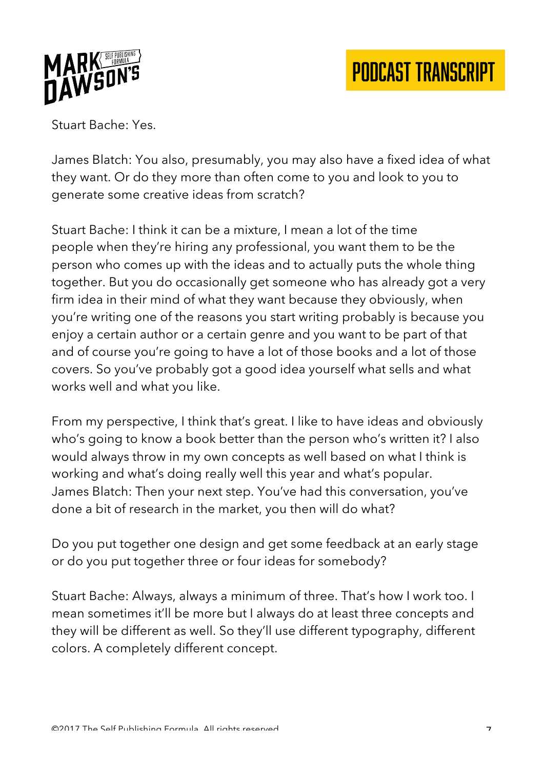

Stuart Bache: Yes.

James Blatch: You also, presumably, you may also have a fixed idea of what they want. Or do they more than often come to you and look to you to generate some creative ideas from scratch?

Stuart Bache: I think it can be a mixture, I mean a lot of the time people when they're hiring any professional, you want them to be the person who comes up with the ideas and to actually puts the whole thing together. But you do occasionally get someone who has already got a very firm idea in their mind of what they want because they obviously, when you're writing one of the reasons you start writing probably is because you enjoy a certain author or a certain genre and you want to be part of that and of course you're going to have a lot of those books and a lot of those covers. So you've probably got a good idea yourself what sells and what works well and what you like.

From my perspective, I think that's great. I like to have ideas and obviously who's going to know a book better than the person who's written it? I also would always throw in my own concepts as well based on what I think is working and what's doing really well this year and what's popular. James Blatch: Then your next step. You've had this conversation, you've done a bit of research in the market, you then will do what?

Do you put together one design and get some feedback at an early stage or do you put together three or four ideas for somebody?

Stuart Bache: Always, always a minimum of three. That's how I work too. I mean sometimes it'll be more but I always do at least three concepts and they will be different as well. So they'll use different typography, different colors. A completely different concept.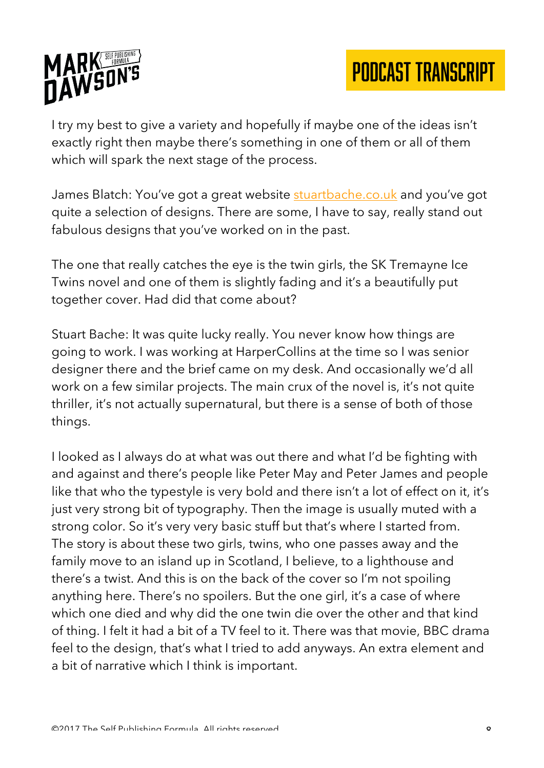

I try my best to give a variety and hopefully if maybe one of the ideas isn't exactly right then maybe there's something in one of them or all of them which will spark the next stage of the process.

James Blatch: You've got a great website stuartbache.co.uk and you've got quite a selection of designs. There are some, I have to say, really stand out fabulous designs that you've worked on in the past.

The one that really catches the eye is the twin girls, the SK Tremayne Ice Twins novel and one of them is slightly fading and it's a beautifully put together cover. Had did that come about?

Stuart Bache: It was quite lucky really. You never know how things are going to work. I was working at HarperCollins at the time so I was senior designer there and the brief came on my desk. And occasionally we'd all work on a few similar projects. The main crux of the novel is, it's not quite thriller, it's not actually supernatural, but there is a sense of both of those things.

I looked as I always do at what was out there and what I'd be fighting with and against and there's people like Peter May and Peter James and people like that who the typestyle is very bold and there isn't a lot of effect on it, it's just very strong bit of typography. Then the image is usually muted with a strong color. So it's very very basic stuff but that's where I started from. The story is about these two girls, twins, who one passes away and the family move to an island up in Scotland, I believe, to a lighthouse and there's a twist. And this is on the back of the cover so I'm not spoiling anything here. There's no spoilers. But the one girl, it's a case of where which one died and why did the one twin die over the other and that kind of thing. I felt it had a bit of a TV feel to it. There was that movie, BBC drama feel to the design, that's what I tried to add anyways. An extra element and a bit of narrative which I think is important.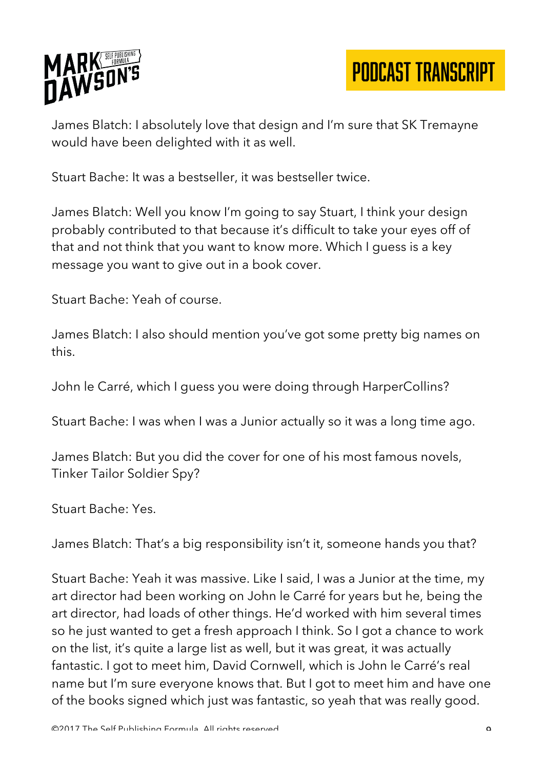

James Blatch: I absolutely love that design and I'm sure that SK Tremayne would have been delighted with it as well.

Stuart Bache: It was a bestseller, it was bestseller twice.

James Blatch: Well you know I'm going to say Stuart, I think your design probably contributed to that because it's difficult to take your eyes off of that and not think that you want to know more. Which I guess is a key message you want to give out in a book cover.

Stuart Bache: Yeah of course.

James Blatch: I also should mention you've got some pretty big names on this.

John le Carré, which I guess you were doing through HarperCollins?

Stuart Bache: I was when I was a Junior actually so it was a long time ago.

James Blatch: But you did the cover for one of his most famous novels, Tinker Tailor Soldier Spy?

Stuart Bache: Yes.

James Blatch: That's a big responsibility isn't it, someone hands you that?

Stuart Bache: Yeah it was massive. Like I said, I was a Junior at the time, my art director had been working on John le Carré for years but he, being the art director, had loads of other things. He'd worked with him several times so he just wanted to get a fresh approach I think. So I got a chance to work on the list, it's quite a large list as well, but it was great, it was actually fantastic. I got to meet him, David Cornwell, which is John le Carré's real name but I'm sure everyone knows that. But I got to meet him and have one of the books signed which just was fantastic, so yeah that was really good.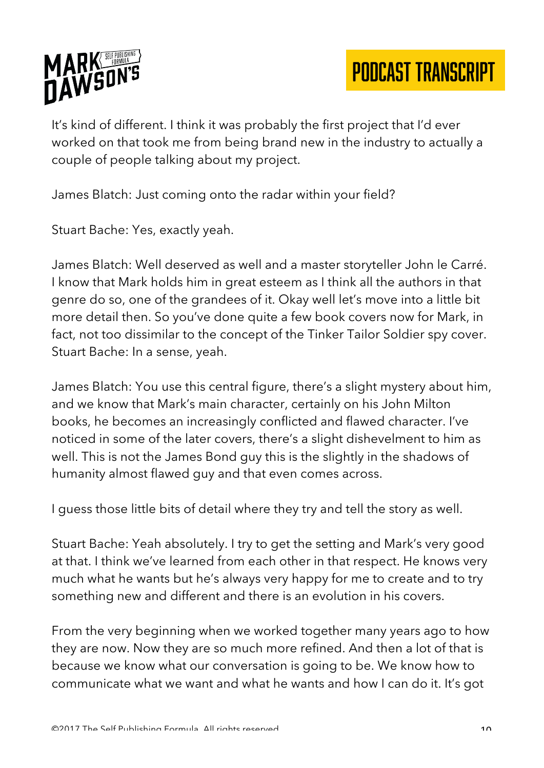

It's kind of different. I think it was probably the first project that I'd ever worked on that took me from being brand new in the industry to actually a couple of people talking about my project.

James Blatch: Just coming onto the radar within your field?

Stuart Bache: Yes, exactly yeah.

James Blatch: Well deserved as well and a master storyteller John le Carré. I know that Mark holds him in great esteem as I think all the authors in that genre do so, one of the grandees of it. Okay well let's move into a little bit more detail then. So you've done quite a few book covers now for Mark, in fact, not too dissimilar to the concept of the Tinker Tailor Soldier spy cover. Stuart Bache: In a sense, yeah.

James Blatch: You use this central figure, there's a slight mystery about him, and we know that Mark's main character, certainly on his John Milton books, he becomes an increasingly conflicted and flawed character. I've noticed in some of the later covers, there's a slight dishevelment to him as well. This is not the James Bond guy this is the slightly in the shadows of humanity almost flawed guy and that even comes across.

I guess those little bits of detail where they try and tell the story as well.

Stuart Bache: Yeah absolutely. I try to get the setting and Mark's very good at that. I think we've learned from each other in that respect. He knows very much what he wants but he's always very happy for me to create and to try something new and different and there is an evolution in his covers.

From the very beginning when we worked together many years ago to how they are now. Now they are so much more refined. And then a lot of that is because we know what our conversation is going to be. We know how to communicate what we want and what he wants and how I can do it. It's got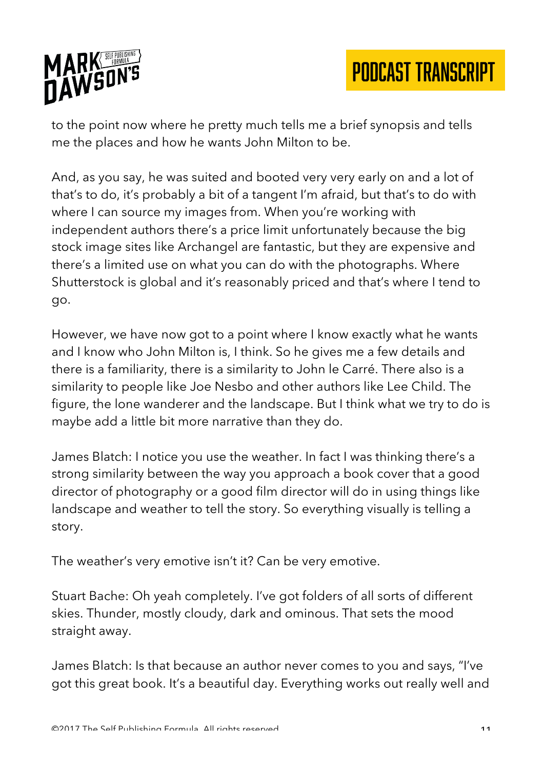

to the point now where he pretty much tells me a brief synopsis and tells me the places and how he wants John Milton to be.

And, as you say, he was suited and booted very very early on and a lot of that's to do, it's probably a bit of a tangent I'm afraid, but that's to do with where I can source my images from. When you're working with independent authors there's a price limit unfortunately because the big stock image sites like Archangel are fantastic, but they are expensive and there's a limited use on what you can do with the photographs. Where Shutterstock is global and it's reasonably priced and that's where I tend to go.

However, we have now got to a point where I know exactly what he wants and I know who John Milton is, I think. So he gives me a few details and there is a familiarity, there is a similarity to John le Carré. There also is a similarity to people like Joe Nesbo and other authors like Lee Child. The figure, the lone wanderer and the landscape. But I think what we try to do is maybe add a little bit more narrative than they do.

James Blatch: I notice you use the weather. In fact I was thinking there's a strong similarity between the way you approach a book cover that a good director of photography or a good film director will do in using things like landscape and weather to tell the story. So everything visually is telling a story.

The weather's very emotive isn't it? Can be very emotive.

Stuart Bache: Oh yeah completely. I've got folders of all sorts of different skies. Thunder, mostly cloudy, dark and ominous. That sets the mood straight away.

James Blatch: Is that because an author never comes to you and says, "I've got this great book. It's a beautiful day. Everything works out really well and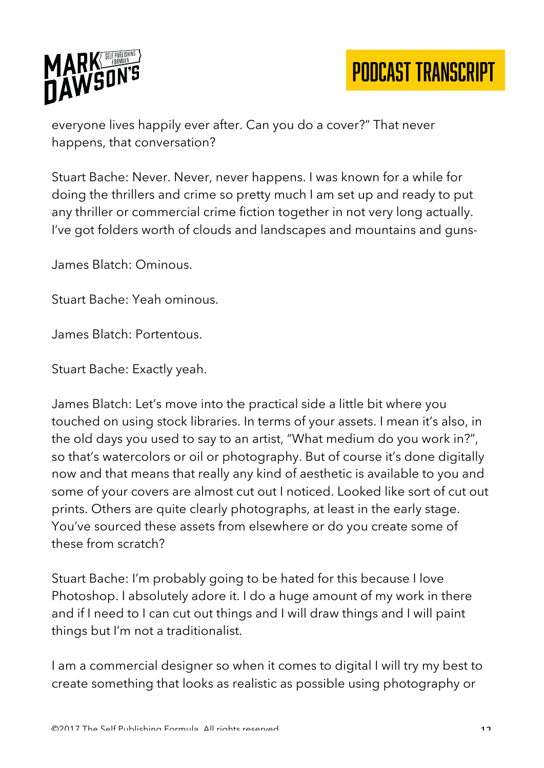

everyone lives happily ever after. Can you do a cover?" That never happens, that conversation?

Stuart Bache: Never. Never, never happens. I was known for a while for doing the thrillers and crime so pretty much I am set up and ready to put any thriller or commercial crime fiction together in not very long actually. I've got folders worth of clouds and landscapes and mountains and guns-

James Blatch: Ominous.

Stuart Bache: Yeah ominous.

James Blatch: Portentous.

Stuart Bache: Exactly yeah.

James Blatch: Let's move into the practical side a little bit where you touched on using stock libraries. In terms of your assets. I mean it's also, in the old days you used to say to an artist, "What medium do you work in?", so that's watercolors or oil or photography. But of course it's done digitally now and that means that really any kind of aesthetic is available to you and some of your covers are almost cut out I noticed. Looked like sort of cut out prints. Others are quite clearly photographs, at least in the early stage. You've sourced these assets from elsewhere or do you create some of these from scratch?

Stuart Bache: I'm probably going to be hated for this because I love Photoshop. I absolutely adore it. I do a huge amount of my work in there and if I need to I can cut out things and I will draw things and I will paint things but I'm not a traditionalist.

I am a commercial designer so when it comes to digital I will try my best to create something that looks as realistic as possible using photography or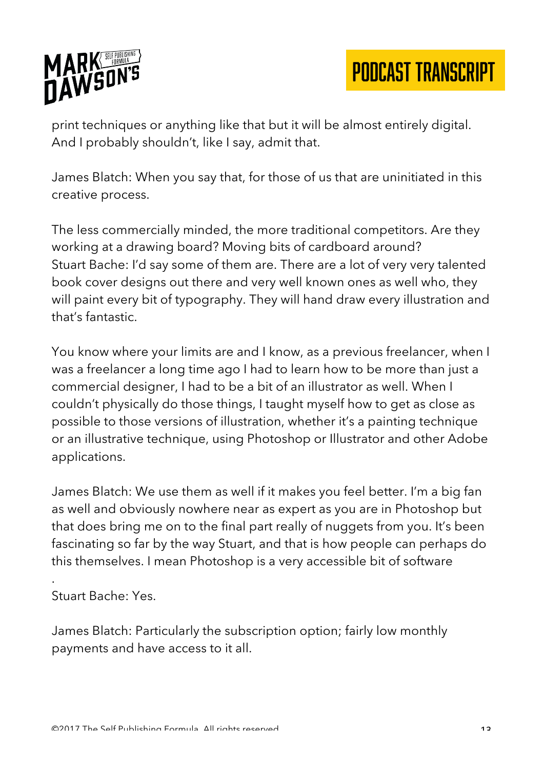

print techniques or anything like that but it will be almost entirely digital. And I probably shouldn't, like I say, admit that.

James Blatch: When you say that, for those of us that are uninitiated in this creative process.

The less commercially minded, the more traditional competitors. Are they working at a drawing board? Moving bits of cardboard around? Stuart Bache: I'd say some of them are. There are a lot of very very talented book cover designs out there and very well known ones as well who, they will paint every bit of typography. They will hand draw every illustration and that's fantastic.

You know where your limits are and I know, as a previous freelancer, when I was a freelancer a long time ago I had to learn how to be more than just a commercial designer, I had to be a bit of an illustrator as well. When I couldn't physically do those things, I taught myself how to get as close as possible to those versions of illustration, whether it's a painting technique or an illustrative technique, using Photoshop or Illustrator and other Adobe applications.

James Blatch: We use them as well if it makes you feel better. I'm a big fan as well and obviously nowhere near as expert as you are in Photoshop but that does bring me on to the final part really of nuggets from you. It's been fascinating so far by the way Stuart, and that is how people can perhaps do this themselves. I mean Photoshop is a very accessible bit of software

Stuart Bache: Yes.

.

James Blatch: Particularly the subscription option; fairly low monthly payments and have access to it all.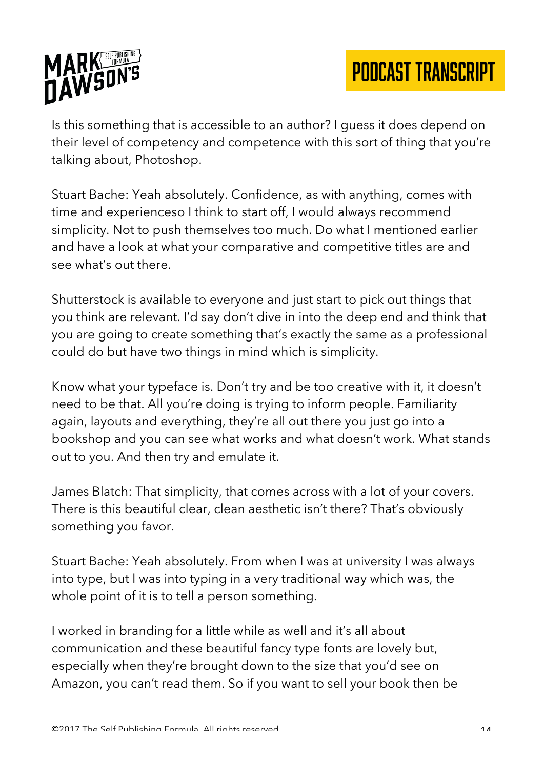

Is this something that is accessible to an author? I guess it does depend on their level of competency and competence with this sort of thing that you're talking about, Photoshop.

Stuart Bache: Yeah absolutely. Confidence, as with anything, comes with time and experienceso I think to start off, I would always recommend simplicity. Not to push themselves too much. Do what I mentioned earlier and have a look at what your comparative and competitive titles are and see what's out there.

Shutterstock is available to everyone and just start to pick out things that you think are relevant. I'd say don't dive in into the deep end and think that you are going to create something that's exactly the same as a professional could do but have two things in mind which is simplicity.

Know what your typeface is. Don't try and be too creative with it, it doesn't need to be that. All you're doing is trying to inform people. Familiarity again, layouts and everything, they're all out there you just go into a bookshop and you can see what works and what doesn't work. What stands out to you. And then try and emulate it.

James Blatch: That simplicity, that comes across with a lot of your covers. There is this beautiful clear, clean aesthetic isn't there? That's obviously something you favor.

Stuart Bache: Yeah absolutely. From when I was at university I was always into type, but I was into typing in a very traditional way which was, the whole point of it is to tell a person something.

I worked in branding for a little while as well and it's all about communication and these beautiful fancy type fonts are lovely but, especially when they're brought down to the size that you'd see on Amazon, you can't read them. So if you want to sell your book then be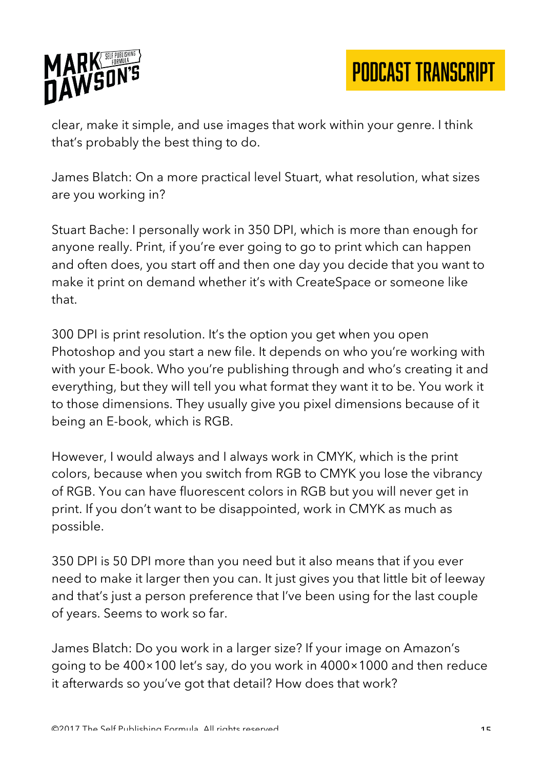

clear, make it simple, and use images that work within your genre. I think that's probably the best thing to do.

James Blatch: On a more practical level Stuart, what resolution, what sizes are you working in?

Stuart Bache: I personally work in 350 DPI, which is more than enough for anyone really. Print, if you're ever going to go to print which can happen and often does, you start off and then one day you decide that you want to make it print on demand whether it's with CreateSpace or someone like that.

300 DPI is print resolution. It's the option you get when you open Photoshop and you start a new file. It depends on who you're working with with your E-book. Who you're publishing through and who's creating it and everything, but they will tell you what format they want it to be. You work it to those dimensions. They usually give you pixel dimensions because of it being an E-book, which is RGB.

However, I would always and I always work in CMYK, which is the print colors, because when you switch from RGB to CMYK you lose the vibrancy of RGB. You can have fluorescent colors in RGB but you will never get in print. If you don't want to be disappointed, work in CMYK as much as possible.

350 DPI is 50 DPI more than you need but it also means that if you ever need to make it larger then you can. It just gives you that little bit of leeway and that's just a person preference that I've been using for the last couple of years. Seems to work so far.

James Blatch: Do you work in a larger size? If your image on Amazon's going to be 400×100 let's say, do you work in 4000×1000 and then reduce it afterwards so you've got that detail? How does that work?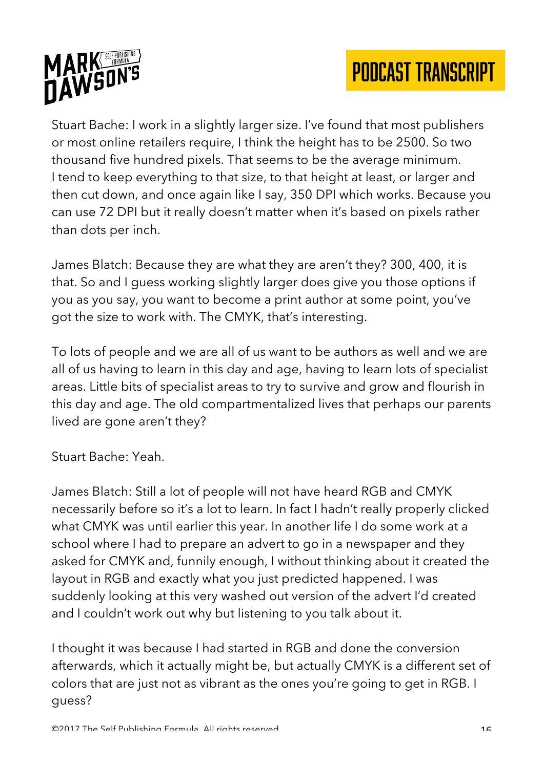

Stuart Bache: I work in a slightly larger size. I've found that most publishers or most online retailers require, I think the height has to be 2500. So two thousand five hundred pixels. That seems to be the average minimum. I tend to keep everything to that size, to that height at least, or larger and then cut down, and once again like I say, 350 DPI which works. Because you can use 72 DPI but it really doesn't matter when it's based on pixels rather than dots per inch.

James Blatch: Because they are what they are aren't they? 300, 400, it is that. So and I guess working slightly larger does give you those options if you as you say, you want to become a print author at some point, you've got the size to work with. The CMYK, that's interesting.

To lots of people and we are all of us want to be authors as well and we are all of us having to learn in this day and age, having to learn lots of specialist areas. Little bits of specialist areas to try to survive and grow and flourish in this day and age. The old compartmentalized lives that perhaps our parents lived are gone aren't they?

Stuart Bache: Yeah.

James Blatch: Still a lot of people will not have heard RGB and CMYK necessarily before so it's a lot to learn. In fact I hadn't really properly clicked what CMYK was until earlier this year. In another life I do some work at a school where I had to prepare an advert to go in a newspaper and they asked for CMYK and, funnily enough, I without thinking about it created the layout in RGB and exactly what you just predicted happened. I was suddenly looking at this very washed out version of the advert I'd created and I couldn't work out why but listening to you talk about it.

I thought it was because I had started in RGB and done the conversion afterwards, which it actually might be, but actually CMYK is a different set of colors that are just not as vibrant as the ones you're going to get in RGB. I guess?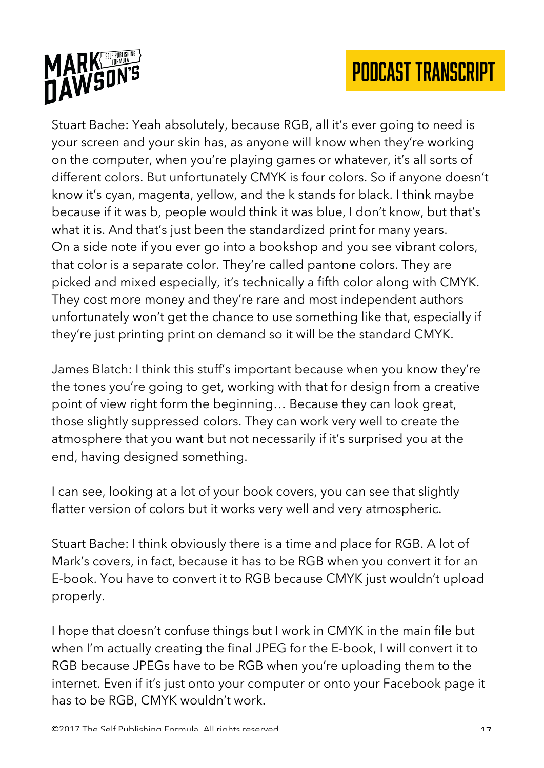

Stuart Bache: Yeah absolutely, because RGB, all it's ever going to need is your screen and your skin has, as anyone will know when they're working on the computer, when you're playing games or whatever, it's all sorts of different colors. But unfortunately CMYK is four colors. So if anyone doesn't know it's cyan, magenta, yellow, and the k stands for black. I think maybe because if it was b, people would think it was blue, I don't know, but that's what it is. And that's just been the standardized print for many years. On a side note if you ever go into a bookshop and you see vibrant colors, that color is a separate color. They're called pantone colors. They are picked and mixed especially, it's technically a fifth color along with CMYK. They cost more money and they're rare and most independent authors unfortunately won't get the chance to use something like that, especially if they're just printing print on demand so it will be the standard CMYK.

James Blatch: I think this stuff's important because when you know they're the tones you're going to get, working with that for design from a creative point of view right form the beginning… Because they can look great, those slightly suppressed colors. They can work very well to create the atmosphere that you want but not necessarily if it's surprised you at the end, having designed something.

I can see, looking at a lot of your book covers, you can see that slightly flatter version of colors but it works very well and very atmospheric.

Stuart Bache: I think obviously there is a time and place for RGB. A lot of Mark's covers, in fact, because it has to be RGB when you convert it for an E-book. You have to convert it to RGB because CMYK just wouldn't upload properly.

I hope that doesn't confuse things but I work in CMYK in the main file but when I'm actually creating the final JPEG for the E-book, I will convert it to RGB because JPEGs have to be RGB when you're uploading them to the internet. Even if it's just onto your computer or onto your Facebook page it has to be RGB, CMYK wouldn't work.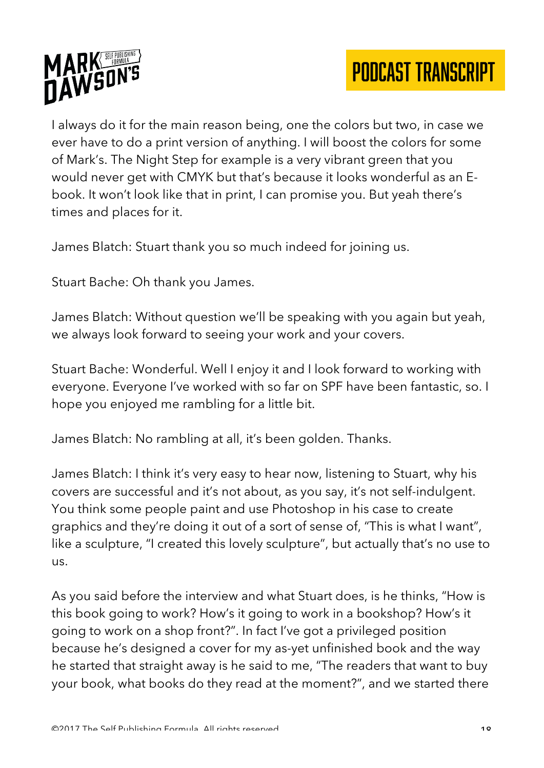

I always do it for the main reason being, one the colors but two, in case we ever have to do a print version of anything. I will boost the colors for some of Mark's. The Night Step for example is a very vibrant green that you would never get with CMYK but that's because it looks wonderful as an Ebook. It won't look like that in print, I can promise you. But yeah there's times and places for it.

James Blatch: Stuart thank you so much indeed for joining us.

Stuart Bache: Oh thank you James.

James Blatch: Without question we'll be speaking with you again but yeah, we always look forward to seeing your work and your covers.

Stuart Bache: Wonderful. Well I enjoy it and I look forward to working with everyone. Everyone I've worked with so far on SPF have been fantastic, so. I hope you enjoyed me rambling for a little bit.

James Blatch: No rambling at all, it's been golden. Thanks.

James Blatch: I think it's very easy to hear now, listening to Stuart, why his covers are successful and it's not about, as you say, it's not self-indulgent. You think some people paint and use Photoshop in his case to create graphics and they're doing it out of a sort of sense of, "This is what I want", like a sculpture, "I created this lovely sculpture", but actually that's no use to us.

As you said before the interview and what Stuart does, is he thinks, "How is this book going to work? How's it going to work in a bookshop? How's it going to work on a shop front?". In fact I've got a privileged position because he's designed a cover for my as-yet unfinished book and the way he started that straight away is he said to me, "The readers that want to buy your book, what books do they read at the moment?", and we started there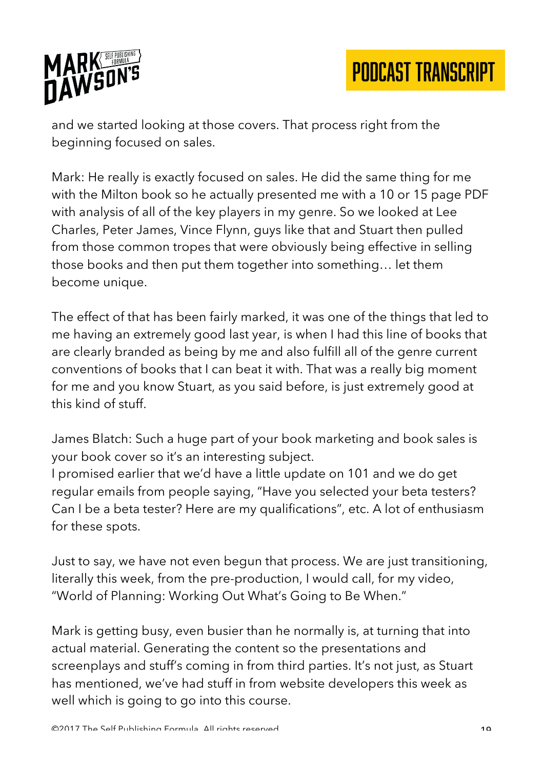

and we started looking at those covers. That process right from the beginning focused on sales.

Mark: He really is exactly focused on sales. He did the same thing for me with the Milton book so he actually presented me with a 10 or 15 page PDF with analysis of all of the key players in my genre. So we looked at Lee Charles, Peter James, Vince Flynn, guys like that and Stuart then pulled from those common tropes that were obviously being effective in selling those books and then put them together into something… let them become unique.

The effect of that has been fairly marked, it was one of the things that led to me having an extremely good last year, is when I had this line of books that are clearly branded as being by me and also fulfill all of the genre current conventions of books that I can beat it with. That was a really big moment for me and you know Stuart, as you said before, is just extremely good at this kind of stuff.

James Blatch: Such a huge part of your book marketing and book sales is your book cover so it's an interesting subject.

I promised earlier that we'd have a little update on 101 and we do get regular emails from people saying, "Have you selected your beta testers? Can I be a beta tester? Here are my qualifications", etc. A lot of enthusiasm for these spots.

Just to say, we have not even begun that process. We are just transitioning, literally this week, from the pre-production, I would call, for my video, "World of Planning: Working Out What's Going to Be When."

Mark is getting busy, even busier than he normally is, at turning that into actual material. Generating the content so the presentations and screenplays and stuff's coming in from third parties. It's not just, as Stuart has mentioned, we've had stuff in from website developers this week as well which is going to go into this course.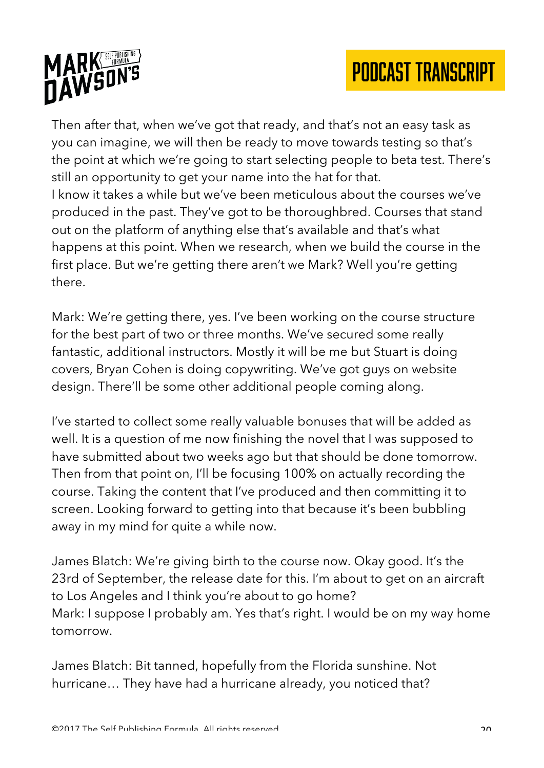

Then after that, when we've got that ready, and that's not an easy task as you can imagine, we will then be ready to move towards testing so that's the point at which we're going to start selecting people to beta test. There's still an opportunity to get your name into the hat for that. I know it takes a while but we've been meticulous about the courses we've produced in the past. They've got to be thoroughbred. Courses that stand out on the platform of anything else that's available and that's what happens at this point. When we research, when we build the course in the first place. But we're getting there aren't we Mark? Well you're getting there.

Mark: We're getting there, yes. I've been working on the course structure for the best part of two or three months. We've secured some really fantastic, additional instructors. Mostly it will be me but Stuart is doing covers, Bryan Cohen is doing copywriting. We've got guys on website design. There'll be some other additional people coming along.

I've started to collect some really valuable bonuses that will be added as well. It is a question of me now finishing the novel that I was supposed to have submitted about two weeks ago but that should be done tomorrow. Then from that point on, I'll be focusing 100% on actually recording the course. Taking the content that I've produced and then committing it to screen. Looking forward to getting into that because it's been bubbling away in my mind for quite a while now.

James Blatch: We're giving birth to the course now. Okay good. It's the 23rd of September, the release date for this. I'm about to get on an aircraft to Los Angeles and I think you're about to go home? Mark: I suppose I probably am. Yes that's right. I would be on my way home tomorrow.

James Blatch: Bit tanned, hopefully from the Florida sunshine. Not hurricane… They have had a hurricane already, you noticed that?